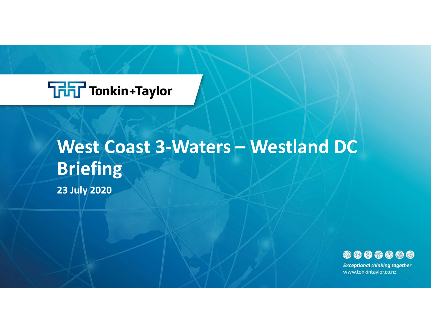

### **FLT** Tonkin+Taylor<br>West Coast 3-Waters – Westland DC<br>Briefing<br><sup>23 July 2020</sup> **Briefing**

23 July 2020



www.tonkintaylor.co.nz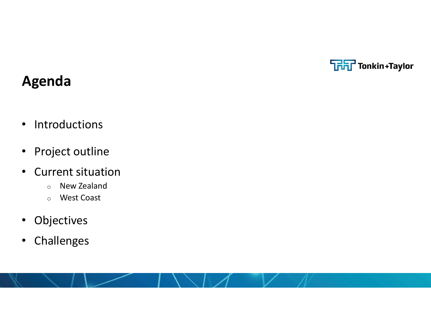

### Agenda

- Introductions
- Project outline
- Current situation
	- o New Zealand
	- o West Coast
- Objectives
- Challenges

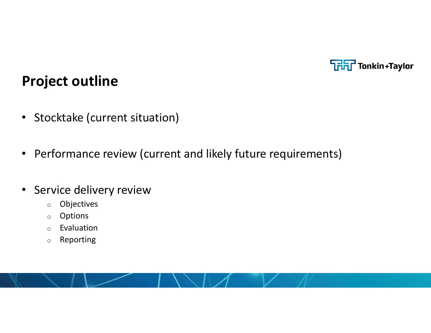

### Project outline

- Stocktake (current situation)
- Performance review (current and likely future requirements)
- Service delivery review
	- o Objectives
	- o Options
	- o Evaluation
	- o Reporting

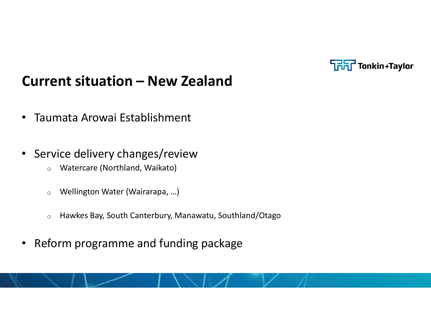

## **Current situation – New Zealand<br>• Taumata Arowai Establishment Current situation – New Zealand<br>• Taumata Arowai Establishment<br>• Service delivery changes/review**

- 
- Service delivery changes/review
	- o Watercare (Northland, Waikato)
	- o Wellington Water (Wairarapa, …)
	- o Hawkes Bay, South Canterbury, Manawatu, Southland/Otago
- Reform programme and funding package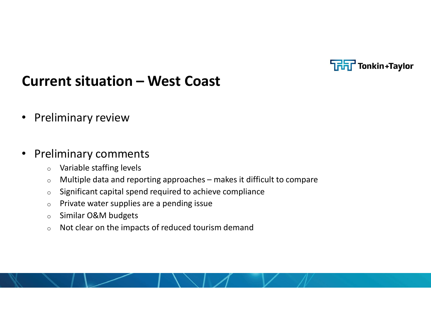

# **Current situation – West Coast<br>• Preliminary review COLOGET COLOGET COLOGET COLOGET COLOGET COLOGET COLOGET COLOGET CONTINUITY**<br> **COLOGET COLOGET COLOGET COLOGET COLOGET COLOGET COLOGET COLOGET COLOGET COLOGET COLOGET COLOGET COLOGET COLOGET COLOGET COLOGET COLOGET COLOGET**

• Preliminary review

### • Preliminary comments

- o Variable staffing levels
- 
- o Significant capital spend required to achieve compliance
- $\circ$  Private water supplies are a pending issue
- o Similar O&M budgets
- o Not clear on the impacts of reduced tourism demand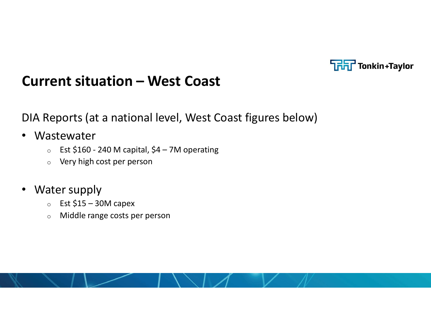

**Current situation – West Coast<br>DIA Reports (at a national level, West Coast figures below)** DIA Reports (at a national level, West Coast figures below) **Capital Situation - West Coast<br>
Reports (at a national level, West Coast figures below)<br>
Sitewater<br>
For Est \$160 - 240 M capital, \$4 – 7M operating<br>
Pery high cost per person<br>
Reprise Sitewater Sumply rent situation — West Coast<br>Reports (at a national level, West Coast figure<br>astewater<br>
Est \$160 - 240 M capital, \$4 – 7M operating<br>
© Very high cost per person<br>ater supply<br>
Est \$15 – 30M capex<br>
© Middle range costs per pe** 

- Wastewater
	-
	- o Very high cost per person
- Water supply
	-
	- o Middle range costs per person

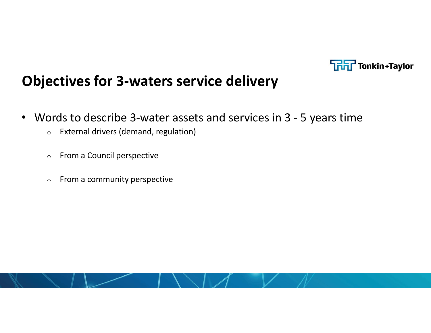

### Objectives for 3-waters service delivery

- **Objectives for 3-waters service delivery<br>• Words to describe 3-water assets and services in 3 5 years time<br>• External drivers (demand, regulation)<br>• From a Council perspective** 
	- o External drivers (demand, regulation)
	- o From a Council perspective
	- o From a community perspective

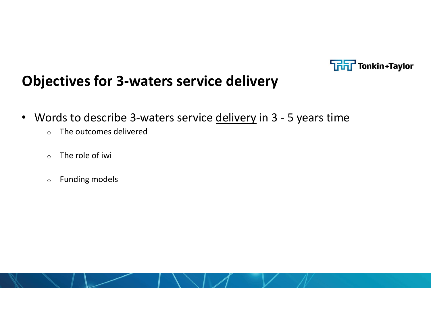

### Objectives for 3-waters service delivery

- **Chiectives for 3-waters service delivery<br>• Words to describe 3-waters service <u>delivery</u> in 3 5 years time<br>• The outcomes delivered<br>• The role of iwi** 
	- o The outcomes delivered
	- $\circ$  The role of iwi
	- o Funding models